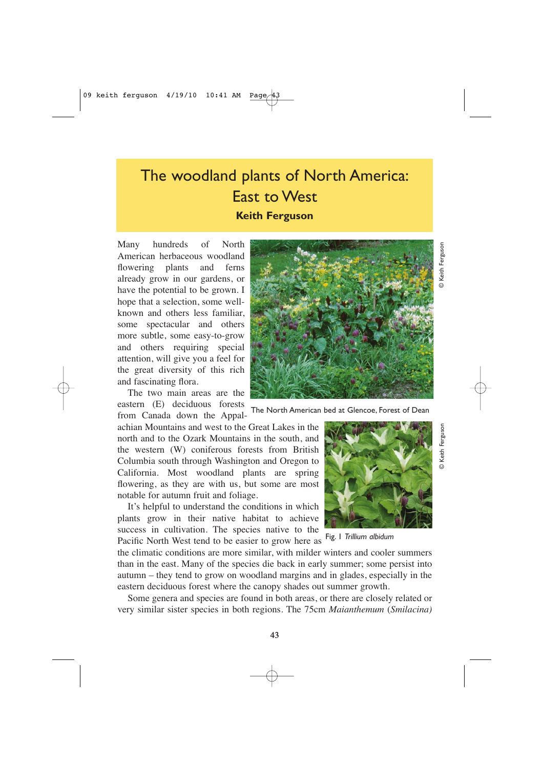## The woodland plants of North America: East to West **Keith Ferguson**

Many hundreds of North American herbaceous woodland flowering plants and ferns already grow in our gardens, or have the potential to be grown. I hope that a selection, some wellknown and others less familiar, some spectacular and others more subtle, some easy-to-grow and others requiring special attention, will give you a feel for the great diversity of this rich and fascinating flora.

The two main areas are the eastern (E) deciduous forests from Canada down the Appal-

achian Mountains and west to the Great Lakes in the north and to the Ozark Mountains in the south, and the western (W) coniferous forests from British Columbia south through Washington and Oregon to California. Most woodland plants are spring flowering, as they are with us, but some are most notable for autumn fruit and foliage.

It's helpful to understand the conditions in which plants grow in their native habitat to achieve success in cultivation. The species native to the Pacific North West tend to be easier to grow here as

the climatic conditions are more similar, with milder winters and cooler summers than in the east. Many of the species die back in early summer; some persist into autumn – they tend to grow on woodland margins and in glades, especially in the eastern deciduous forest where the canopy shades out summer growth.

Some genera and species are found in both areas, or there are closely related or very similar sister species in both regions. The 75cm *Maianthemum* (*Smilacina)*

The North American bed at Glencoe, Forest of Dean



Fig. 1 *Trillium albidum*



© Keith Ferguson

Keith Ferguson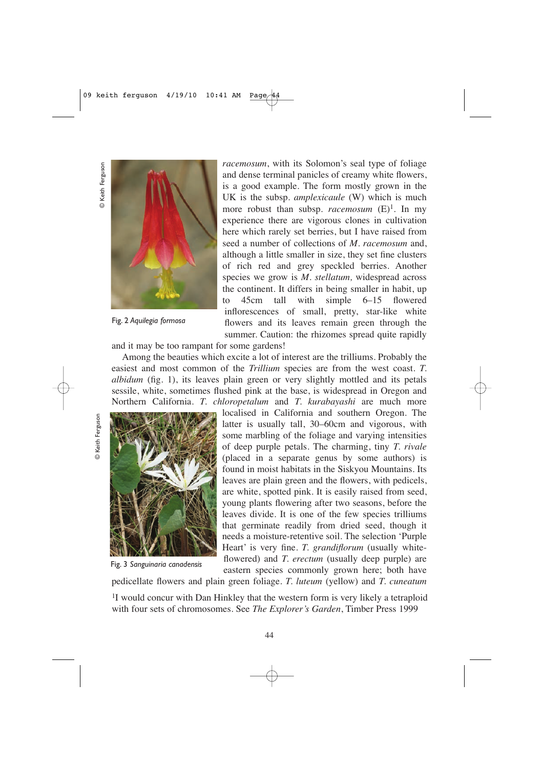

Fig. 2 *Aquilegia formosa*

*racemosum*, with its Solomon's seal type of foliage and dense terminal panicles of creamy white flowers, is a good example. The form mostly grown in the UK is the subsp. *amplexicaule* (W) which is much more robust than subsp. *racemosum*  $(E)^1$ . In my experience there are vigorous clones in cultivation here which rarely set berries, but I have raised from seed a number of collections of *M. racemosum* and, although a little smaller in size, they set fine clusters of rich red and grey speckled berries. Another species we grow is *M. stellatum,* widespread across the continent. It differs in being smaller in habit, up to 45cm tall with simple 6–15 flowered inflorescences of small, pretty, star-like white flowers and its leaves remain green through the summer. Caution: the rhizomes spread quite rapidly

and it may be too rampant for some gardens!

Among the beauties which excite a lot of interest are the trilliums. Probably the easiest and most common of the *Trillium* species are from the west coast. *T. albidum* (fig. 1), its leaves plain green or very slightly mottled and its petals sessile, white, sometimes flushed pink at the base, is widespread in Oregon and Northern California. *T. chloropetalum* and *T. kurabayashi* are much more



Fig. 3 *Sanguinaria canadensis*

localised in California and southern Oregon. The latter is usually tall, 30–60cm and vigorous, with some marbling of the foliage and varying intensities of deep purple petals. The charming, tiny *T. rivale* (placed in a separate genus by some authors) is found in moist habitats in the Siskyou Mountains. Its leaves are plain green and the flowers, with pedicels, are white, spotted pink. It is easily raised from seed, young plants flowering after two seasons, before the leaves divide. It is one of the few species trilliums that germinate readily from dried seed, though it needs a moisture-retentive soil. The selection 'Purple Heart' is very fine. *T. grandiflorum* (usually whiteflowered) and *T. erectum* (usually deep purple) are eastern species commonly grown here; both have

pedicellate flowers and plain green foliage. *T. luteum* (yellow) and *T. cuneatum*

<sup>1</sup>I would concur with Dan Hinkley that the western form is very likely a tetraploid with four sets of chromosomes. See *The Explorer's Garden*, Timber Press 1999

© Keith Ferguson

© Keith Ferguson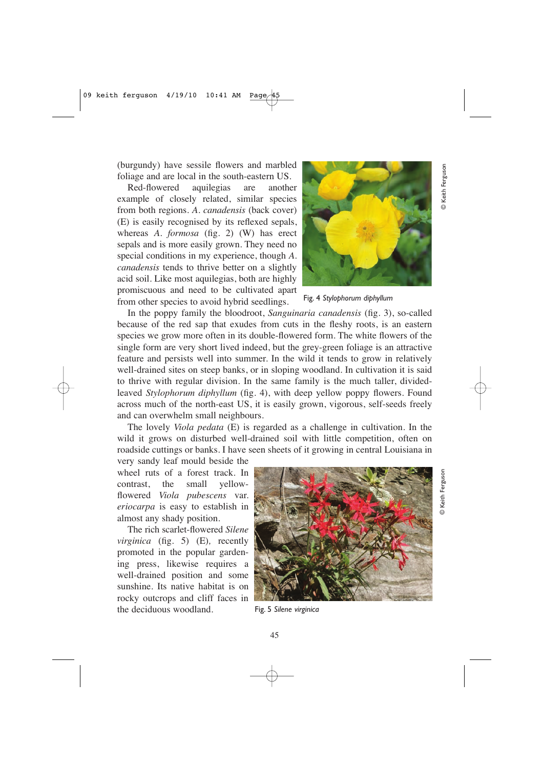(burgundy) have sessile flowers and marbled foliage and are local in the south-eastern US.

Red-flowered aquilegias are another example of closely related, similar species from both regions. *A. canadensis* (back cover) (E) is easily recognised by its reflexed sepals, whereas *A. formosa* (fig. 2) (W) has erect sepals and is more easily grown. They need no special conditions in my experience, though *A. canadensis* tends to thrive better on a slightly acid soil. Like most aquilegias, both are highly promiscuous and need to be cultivated apart from other species to avoid hybrid seedlings.



Fig. 4 *Stylophorum diphyllum*

In the poppy family the bloodroot, *Sanguinaria canadensis* (fig. 3), so-called because of the red sap that exudes from cuts in the fleshy roots, is an eastern species we grow more often in its double-flowered form. The white flowers of the single form are very short lived indeed, but the grey-green foliage is an attractive feature and persists well into summer. In the wild it tends to grow in relatively well-drained sites on steep banks, or in sloping woodland. In cultivation it is said to thrive with regular division. In the same family is the much taller, dividedleaved *Stylophorum diphyllum* (fig. 4), with deep yellow poppy flowers. Found across much of the north-east US, it is easily grown, vigorous, self-seeds freely and can overwhelm small neighbours.

The lovely *Viola pedata* (E) is regarded as a challenge in cultivation. In the wild it grows on disturbed well-drained soil with little competition, often on roadside cuttings or banks. I have seen sheets of it growing in central Louisiana in

very sandy leaf mould beside the wheel ruts of a forest track. In contrast, the small yellowflowered *Viola pubescens* var. *eriocarpa* is easy to establish in almost any shady position.

The rich scarlet-flowered *Silene virginica* (fig. 5) (E)*,* recently promoted in the popular gardening press, likewise requires a well-drained position and some sunshine. Its native habitat is on rocky outcrops and cliff faces in the deciduous woodland. Fig. 5 *Silene virginica* 

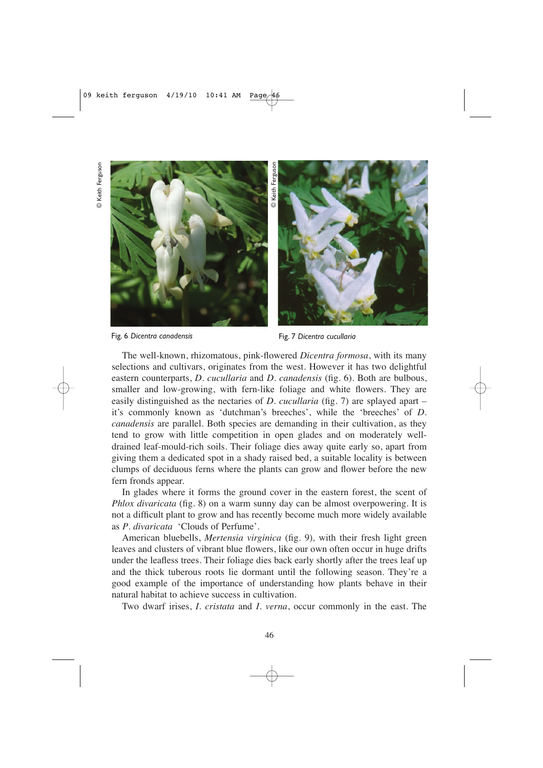

Fig. 6 *Dicentra canadensis* Fig. 7 *Dicentra cucullaria*

The well-known, rhizomatous, pink-flowered *Dicentra formosa*, with its many selections and cultivars, originates from the west. However it has two delightful eastern counterparts, *D. cucullaria* and *D. canadensis* (fig. 6). Both are bulbous, smaller and low-growing, with fern-like foliage and white flowers. They are easily distinguished as the nectaries of *D. cucullaria* (fig. 7) are splayed apart – it's commonly known as 'dutchman's breeches', while the 'breeches' of *D. canadensis* are parallel. Both species are demanding in their cultivation, as they tend to grow with little competition in open glades and on moderately welldrained leaf-mould-rich soils. Their foliage dies away quite early so, apart from giving them a dedicated spot in a shady raised bed, a suitable locality is between clumps of deciduous ferns where the plants can grow and flower before the new fern fronds appear.

In glades where it forms the ground cover in the eastern forest, the scent of *Phlox divaricata* (fig. 8) on a warm sunny day can be almost overpowering. It is not a difficult plant to grow and has recently become much more widely available as *P*. *divaricata* 'Clouds of Perfume'.

American bluebells, *Mertensia virginica* (fig. 9)*,* with their fresh light green leaves and clusters of vibrant blue flowers, like our own often occur in huge drifts under the leafless trees. Their foliage dies back early shortly after the trees leaf up and the thick tuberous roots lie dormant until the following season. They're a good example of the importance of understanding how plants behave in their natural habitat to achieve success in cultivation.

Two dwarf irises, *I. cristata* and *I. verna*, occur commonly in the east. The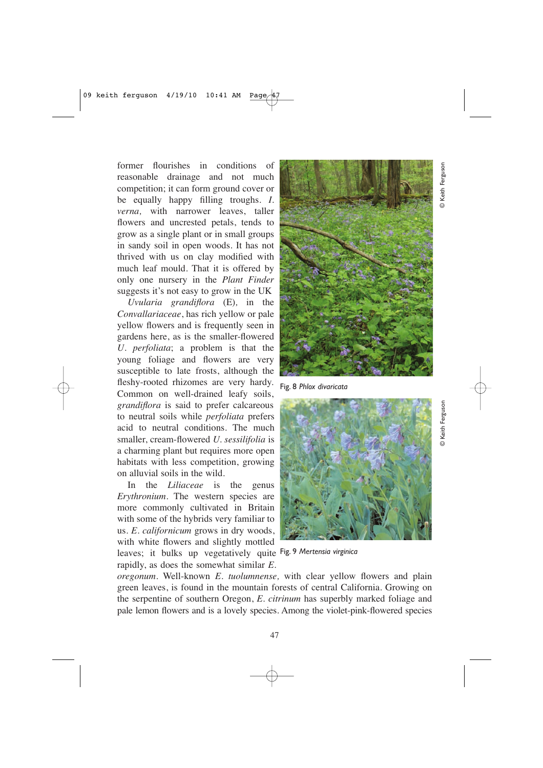© Keith Ferguson

**© Keith Fergusor** 

former flourishes in conditions of reasonable drainage and not much competition; it can form ground cover or be equally happy filling troughs. *I. verna,* with narrower leaves, taller flowers and uncrested petals, tends to grow as a single plant or in small groups in sandy soil in open woods. It has not thrived with us on clay modified with much leaf mould. That it is offered by only one nursery in the *Plant Finder* suggests it's not easy to grow in the UK

*Uvularia grandiflora* (E)*,* in the *Convallariaceae*, has rich yellow or pale yellow flowers and is frequently seen in gardens here, as is the smaller-flowered *U. perfoliata*; a problem is that the young foliage and flowers are very susceptible to late frosts, although the fleshy-rooted rhizomes are very hardy. Common on well-drained leafy soils, *grandiflora* is said to prefer calcareous to neutral soils while *perfoliata* prefers acid to neutral conditions. The much smaller, cream-flowered *U. sessilifolia* is a charming plant but requires more open habitats with less competition, growing on alluvial soils in the wild.

In the *Liliaceae* is the genus *Erythronium*. The western species are more commonly cultivated in Britain with some of the hybrids very familiar to us. *E. californicum* grows in dry woods, with white flowers and slightly mottled leaves; it bulks up vegetatively quite Fig. 9 *Mertensia virginica*  rapidly, as does the somewhat similar *E.*



Fig. 8 *Phlox divaricata*



*oregonum*. Well-known *E. tuolumnense,* with clear yellow flowers and plain green leaves, is found in the mountain forests of central California. Growing on the serpentine of southern Oregon, *E. citrinum* has superbly marked foliage and pale lemon flowers and is a lovely species. Among the violet-pink-flowered species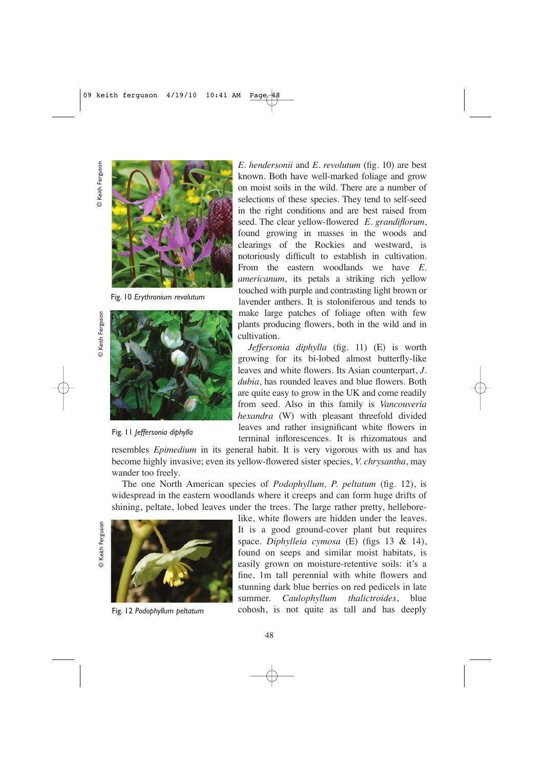© Keith Ferguson

© Keith Ferguson



Fig. 10 *Erythronium revolutum*



Fig. 11 *Jeffersonia diphylla*

*E. hendersonii* and *E. revolutum* (fig. 10) are best known. Both have well-marked foliage and grow on moist soils in the wild. There are a number of selections of these species. They tend to self-seed in the right conditions and are best raised from seed. The clear yellow-flowered *E. grandiflorum*, found growing in masses in the woods and clearings of the Rockies and westward, is notoriously difficult to establish in cultivation. From the eastern woodlands we have *E. americanum*, its petals a striking rich yellow touched with purple and contrasting light brown or lavender anthers. It is stoloniferous and tends to make large patches of foliage often with few plants producing flowers, both in the wild and in cultivation.

*Jeffersonia diphylla* (fig. 11) (E) is worth growing for its bi-lobed almost butterfly-like leaves and white flowers. Its Asian counterpart, *J. dubia*, has rounded leaves and blue flowers. Both are quite easy to grow in the UK and come readily from seed. Also in this family is *Vancouveria hexandra* (W) with pleasant threefold divided leaves and rather insignificant white flowers in terminal inflorescences. It is rhizomatous and

resembles *Epimedium* in its general habit. It is very vigorous with us and has become highly invasive; even its yellow-flowered sister species, *V. chrysantha*, may wander too freely.

The one North American species of *Podophyllum, P. peltatum* (fig. 12), is widespread in the eastern woodlands where it creeps and can form huge drifts of shining, peltate, lobed leaves under the trees. The large rather pretty, hellebore-





like, white flowers are hidden under the leaves. It is a good ground-cover plant but requires space. *Diphylleia cymosa* (E) (figs 13 & 14), found on seeps and similar moist habitats, is easily grown on moisture-retentive soils: it's a fine, 1m tall perennial with white flowers and stunning dark blue berries on red pedicels in late summer. *Caulophyllum thalictroides*, blue Fig. 12 *Podophyllum peltatum* cohosh, is not quite as tall and has deeply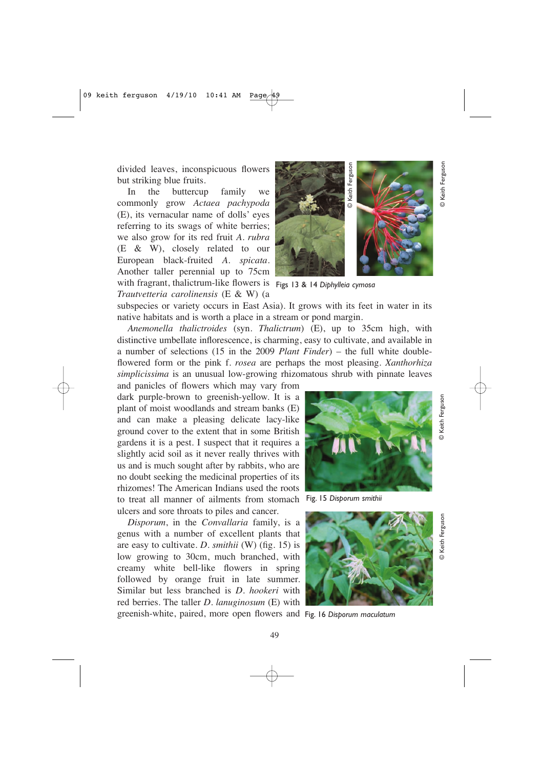divided leaves, inconspicuous flowers but striking blue fruits.

In the buttercup family we commonly grow *Actaea pachypoda* (E), its vernacular name of dolls' eyes referring to its swags of white berries; we also grow for its red fruit *A. rubra* (E & W), closely related to our European black-fruited *A. spicata*. Another taller perennial up to 75cm with fragrant, thalictrum-like flowers is Figs 13 & 14 *Diphylleia cymosa*

*Trautvetteria carolinensis* (E & W) (a



subspecies or variety occurs in East Asia). It grows with its feet in water in its native habitats and is worth a place in a stream or pond margin.

*Anemonella thalictroides* (syn. *Thalictrum*) (E), up to 35cm high, with distinctive umbellate inflorescence, is charming, easy to cultivate, and available in a number of selections (15 in the 2009 *Plant Finder*) – the full white doubleflowered form or the pink f*. rosea* are perhaps the most pleasing. *Xanthorhiza simplicissima* is an unusual low-growing rhizomatous shrub with pinnate leaves

and panicles of flowers which may vary from dark purple-brown to greenish-yellow. It is a plant of moist woodlands and stream banks (E) and can make a pleasing delicate lacy-like ground cover to the extent that in some British gardens it is a pest. I suspect that it requires a slightly acid soil as it never really thrives with us and is much sought after by rabbits, who are no doubt seeking the medicinal properties of its rhizomes! The American Indians used the roots to treat all manner of ailments from stomach Fig. 15 *Disporum smithii* ulcers and sore throats to piles and cancer.

*Disporum*, in the *Convallaria* family, is a genus with a number of excellent plants that are easy to cultivate. *D. smithii* (W) (fig. 15) is low growing to 30cm, much branched, with creamy white bell-like flowers in spring followed by orange fruit in late summer. Similar but less branched is *D. hookeri* with red berries. The taller *D. lanuginosum* (E) with





greenish-white, paired, more open flowers and Fig. 16 *Disporum maculatum*